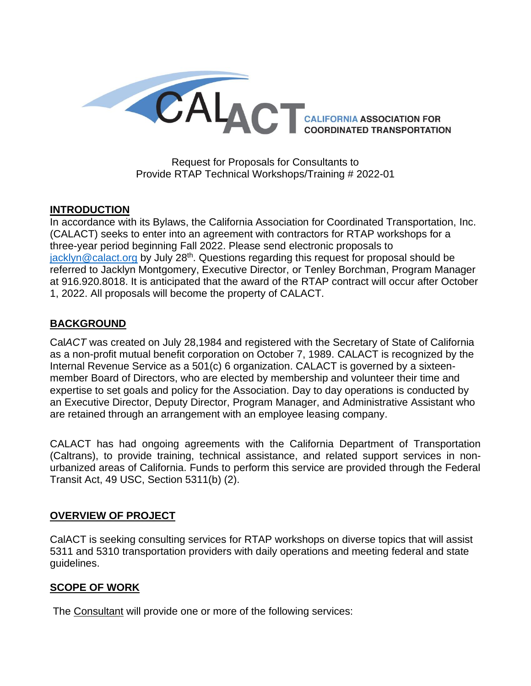

Request for Proposals for Consultants to Provide RTAP Technical Workshops/Training # 2022-01

### **INTRODUCTION**

In accordance with its Bylaws, the California Association for Coordinated Transportation, Inc. (CALACT) seeks to enter into an agreement with contractors for RTAP workshops for a three-year period beginning Fall 2022. Please send electronic proposals to [jacklyn@calact.org](mailto:jacklyn@calact.org) by July 28<sup>th</sup>. Questions regarding this request for proposal should be referred to Jacklyn Montgomery, Executive Director, or Tenley Borchman, Program Manager at 916.920.8018. It is anticipated that the award of the RTAP contract will occur after October 1, 2022. All proposals will become the property of CALACT.

### **BACKGROUND**

Cal*ACT* was created on July 28,1984 and registered with the Secretary of State of California as a non-profit mutual benefit corporation on October 7, 1989. CALACT is recognized by the Internal Revenue Service as a 501(c) 6 organization. CALACT is governed by a sixteenmember Board of Directors, who are elected by membership and volunteer their time and expertise to set goals and policy for the Association. Day to day operations is conducted by an Executive Director, Deputy Director, Program Manager, and Administrative Assistant who are retained through an arrangement with an employee leasing company.

CALACT has had ongoing agreements with the California Department of Transportation (Caltrans), to provide training, technical assistance, and related support services in nonurbanized areas of California. Funds to perform this service are provided through the Federal Transit Act, 49 USC, Section 5311(b) (2).

### **OVERVIEW OF PROJECT**

CalACT is seeking consulting services for RTAP workshops on diverse topics that will assist 5311 and 5310 transportation providers with daily operations and meeting federal and state guidelines.

### **SCOPE OF WORK**

The Consultant will provide one or more of the following services: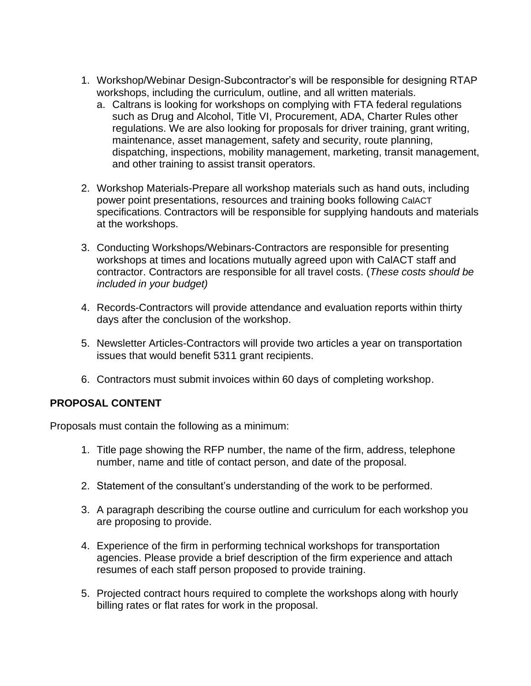- 1. Workshop/Webinar Design-Subcontractor's will be responsible for designing RTAP workshops, including the curriculum, outline, and all written materials.
	- a. Caltrans is looking for workshops on complying with FTA federal regulations such as Drug and Alcohol, Title VI, Procurement, ADA, Charter Rules other regulations. We are also looking for proposals for driver training, grant writing, maintenance, asset management, safety and security, route planning, dispatching, inspections, mobility management, marketing, transit management, and other training to assist transit operators.
- 2. Workshop Materials-Prepare all workshop materials such as hand outs, including power point presentations, resources and training books following CalACT specifications. Contractors will be responsible for supplying handouts and materials at the workshops.
- 3. Conducting Workshops/Webinars-Contractors are responsible for presenting workshops at times and locations mutually agreed upon with CalACT staff and contractor. Contractors are responsible for all travel costs. (*These costs should be included in your budget)*
- 4. Records-Contractors will provide attendance and evaluation reports within thirty days after the conclusion of the workshop.
- 5. Newsletter Articles-Contractors will provide two articles a year on transportation issues that would benefit 5311 grant recipients.
- 6. Contractors must submit invoices within 60 days of completing workshop.

# **PROPOSAL CONTENT**

Proposals must contain the following as a minimum:

- 1. Title page showing the RFP number, the name of the firm, address, telephone number, name and title of contact person, and date of the proposal.
- 2. Statement of the consultant's understanding of the work to be performed.
- 3. A paragraph describing the course outline and curriculum for each workshop you are proposing to provide.
- 4. Experience of the firm in performing technical workshops for transportation agencies. Please provide a brief description of the firm experience and attach resumes of each staff person proposed to provide training.
- 5. Projected contract hours required to complete the workshops along with hourly billing rates or flat rates for work in the proposal.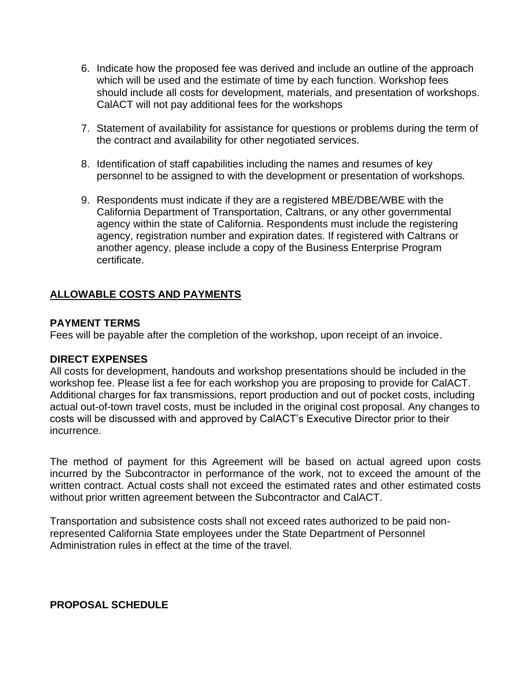- 6. Indicate how the proposed fee was derived and include an outline of the approach which will be used and the estimate of time by each function. Workshop fees should include all costs for development, materials, and presentation of workshops. CalACT will not pay additional fees for the workshops
- 7. Statement of availability for assistance for questions or problems during the term of the contract and availability for other negotiated services.
- 8. Identification of staff capabilities including the names and resumes of key personnel to be assigned to with the development or presentation of workshops.
- 9. Respondents must indicate if they are a registered MBE/DBE/WBE with the California Department of Transportation, Caltrans, or any other governmental agency within the state of California. Respondents must include the registering agency, registration number and expiration dates. If registered with Caltrans or another agency, please include a copy of the Business Enterprise Program certificate.

# **ALLOWABLE COSTS AND PAYMENTS**

### **PAYMENT TERMS**

Fees will be payable after the completion of the workshop, upon receipt of an invoice.

### **DIRECT EXPENSES**

All costs for development, handouts and workshop presentations should be included in the workshop fee. Please list a fee for each workshop you are proposing to provide for CalACT. Additional charges for fax transmissions, report production and out of pocket costs, including actual out-of-town travel costs, must be included in the original cost proposal. Any changes to costs will be discussed with and approved by CalACT's Executive Director prior to their incurrence.

The method of payment for this Agreement will be based on actual agreed upon costs incurred by the Subcontractor in performance of the work, not to exceed the amount of the written contract. Actual costs shall not exceed the estimated rates and other estimated costs without prior written agreement between the Subcontractor and CalACT.

Transportation and subsistence costs shall not exceed rates authorized to be paid nonrepresented California State employees under the State Department of Personnel Administration rules in effect at the time of the travel.

### **PROPOSAL SCHEDULE**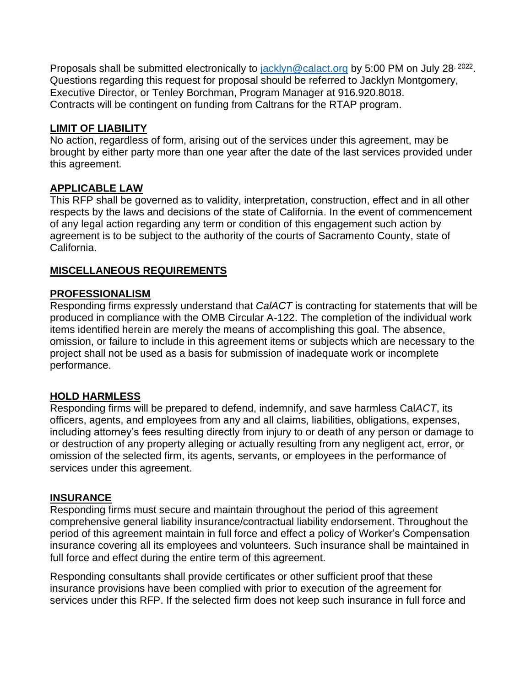Proposals shall be submitted electronically to *jacklyn@calact.org* by 5:00 PM on July 28<sup>, 2022</sup>. Questions regarding this request for proposal should be referred to Jacklyn Montgomery. Executive Director, or Tenley Borchman, Program Manager at 916.920.8018. Contracts will be contingent on funding from Caltrans for the RTAP program.

### **LIMIT OF LIABILITY**

No action, regardless of form, arising out of the services under this agreement, may be brought by either party more than one year after the date of the last services provided under this agreement.

# **APPLICABLE LAW**

This RFP shall be governed as to validity, interpretation, construction, effect and in all other respects by the laws and decisions of the state of California. In the event of commencement of any legal action regarding any term or condition of this engagement such action by agreement is to be subject to the authority of the courts of Sacramento County, state of California.

# **MISCELLANEOUS REQUIREMENTS**

### **PROFESSIONALISM**

Responding firms expressly understand that *CalACT* is contracting for statements that will be produced in compliance with the OMB Circular A-122. The completion of the individual work items identified herein are merely the means of accomplishing this goal. The absence, omission, or failure to include in this agreement items or subjects which are necessary to the project shall not be used as a basis for submission of inadequate work or incomplete performance.

### **HOLD HARMLESS**

Responding firms will be prepared to defend, indemnify, and save harmless Cal*ACT*, its officers, agents, and employees from any and all claims, liabilities, obligations, expenses, including attorney's fees resulting directly from injury to or death of any person or damage to or destruction of any property alleging or actually resulting from any negligent act, error, or omission of the selected firm, its agents, servants, or employees in the performance of services under this agreement.

### **INSURANCE**

Responding firms must secure and maintain throughout the period of this agreement comprehensive general liability insurance/contractual liability endorsement. Throughout the period of this agreement maintain in full force and effect a policy of Worker's Compensation insurance covering all its employees and volunteers. Such insurance shall be maintained in full force and effect during the entire term of this agreement.

Responding consultants shall provide certificates or other sufficient proof that these insurance provisions have been complied with prior to execution of the agreement for services under this RFP. If the selected firm does not keep such insurance in full force and